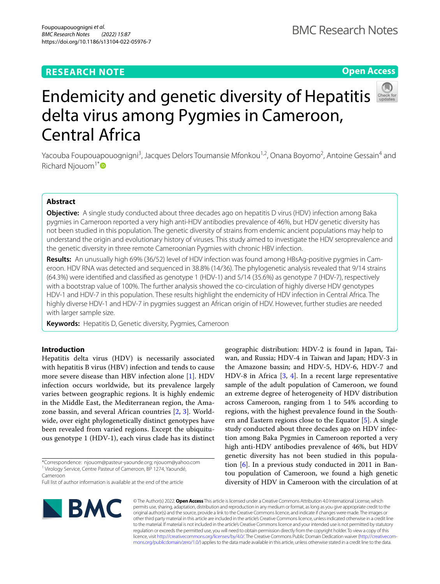# **RESEARCH NOTE**

# **Open Access**



# Endemicity and genetic diversity of Hepatitis delta virus among Pygmies in Cameroon, Central Africa

Yacouba Foupouapouognigni<sup>3</sup>, Jacques Delors Toumansie Mfonkou<sup>1,2</sup>, Onana Boyomo<sup>2</sup>, Antoine Gessain<sup>4</sup> and Richard Njouom<sup>1[\\*](http://orcid.org/0000-0003-3112-6370)</sup> $\bullet$ 

# **Abstract**

**Objective:** A single study conducted about three decades ago on hepatitis D virus (HDV) infection among Baka pygmies in Cameroon reported a very high anti-HDV antibodies prevalence of 46%, but HDV genetic diversity has not been studied in this population. The genetic diversity of strains from endemic ancient populations may help to understand the origin and evolutionary history of viruses. This study aimed to investigate the HDV seroprevalence and the genetic diversity in three remote Cameroonian Pygmies with chronic HBV infection.

**Results:** An unusually high 69% (36/52) level of HDV infection was found among HBsAg-positive pygmies in Cameroon. HDV RNA was detected and sequenced in 38.8% (14/36). The phylogenetic analysis revealed that 9/14 strains (64.3%) were identifed and classifed as genotype 1 (HDV-1) and 5/14 (35.6%) as genotype 7 (HDV-7), respectively with a bootstrap value of 100%. The further analysis showed the co-circulation of highly diverse HDV genotypes HDV-1 and HDV-7 in this population. These results highlight the endemicity of HDV infection in Central Africa. The highly diverse HDV-1 and HDV-7 in pygmies suggest an African origin of HDV. However, further studies are needed with larger sample size.

**Keywords:** Hepatitis D, Genetic diversity, Pygmies, Cameroon

# **Introduction**

Hepatitis delta virus (HDV) is necessarily associated with hepatitis B virus (HBV) infection and tends to cause more severe disease than HBV infection alone [\[1](#page-4-0)]. HDV infection occurs worldwide, but its prevalence largely varies between geographic regions. It is highly endemic in the Middle East, the Mediterranean region, the Amazone bassin, and several African countries [[2](#page-4-1), [3\]](#page-4-2). Worldwide, over eight phylogenetically distinct genotypes have been revealed from varied regions. Except the ubiquituous genotype 1 (HDV-1), each virus clade has its distinct

\*Correspondence: njouom@pasteur-yaounde.org; njouom@yahoo.com <sup>1</sup> Virology Service, Centre Pasteur of Cameroon, BP 1274, Yaoundé, Cameroon

Full list of author information is available at the end of the article



geographic distribution: HDV-2 is found in Japan, Taiwan, and Russia; HDV-4 in Taiwan and Japan; HDV-3 in the Amazone bassin; and HDV-5, HDV-6, HDV-7 and HDV-8 in Africa [\[3](#page-4-2), [4\]](#page-4-3). In a recent large representative sample of the adult population of Cameroon, we found an extreme degree of heterogeneity of HDV distribution across Cameroon, ranging from 1 to 54% according to regions, with the highest prevalence found in the Southern and Eastern regions close to the Equator [[5](#page-4-4)]. A single study conducted about three decades ago on HDV infection among Baka Pygmies in Cameroon reported a very high anti-HDV antibodies prevalence of 46%, but HDV genetic diversity has not been studied in this population [[6\]](#page-4-5). In a previous study conducted in 2011 in Bantou population of Cameroon, we found a high genetic diversity of HDV in Cameroon with the circulation of at

© The Author(s) 2022. **Open Access** This article is licensed under a Creative Commons Attribution 4.0 International License, which permits use, sharing, adaptation, distribution and reproduction in any medium or format, as long as you give appropriate credit to the original author(s) and the source, provide a link to the Creative Commons licence, and indicate if changes were made. The images or other third party material in this article are included in the article's Creative Commons licence, unless indicated otherwise in a credit line to the material. If material is not included in the article's Creative Commons licence and your intended use is not permitted by statutory regulation or exceeds the permitted use, you will need to obtain permission directly from the copyright holder. To view a copy of this licence, visit [http://creativecommons.org/licenses/by/4.0/.](http://creativecommons.org/licenses/by/4.0/) The Creative Commons Public Domain Dedication waiver ([http://creativecom](http://creativecommons.org/publicdomain/zero/1.0/)[mons.org/publicdomain/zero/1.0/\)](http://creativecommons.org/publicdomain/zero/1.0/) applies to the data made available in this article, unless otherwise stated in a credit line to the data.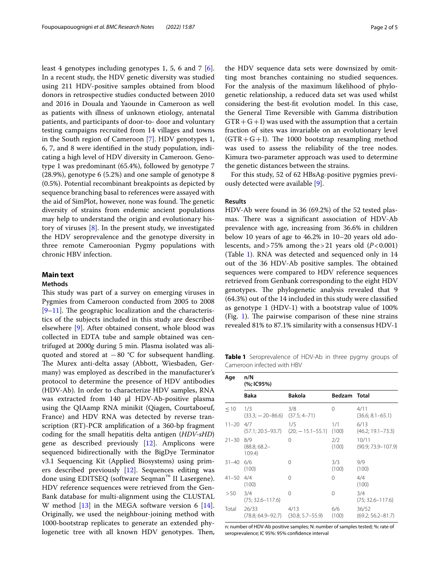least 4 genotypes including genotypes 1, 5, 6 and 7 [\[6](#page-4-5)]. In a recent study, the HDV genetic diversity was studied using 211 HDV-positive samples obtained from blood donors in retrospective studies conducted between 2010 and 2016 in Douala and Yaounde in Cameroon as well as patients with illness of unknown etiology, antenatal patients, and participants of door-to- door and voluntary testing campaigns recruited from 14 villages and towns in the South region of Cameroon [\[7](#page-4-6)]. HDV genotypes 1, 6, 7, and 8 were identifed in the study population, indicating a high level of HDV diversity in Cameroon. Genotype 1 was predominant (65.4%), followed by genotype 7 (28.9%), genotype 6 (5.2%) and one sample of genotype 8 (0.5%). Potential recombinant breakpoints as depicted by sequence branching basal to references were assayed with the aid of SimPlot, however, none was found. The genetic diversity of strains from endemic ancient populations may help to understand the origin and evolutionary history of viruses [[8\]](#page-4-7). In the present study, we investigated the HDV seroprevalence and the genotype diversity in three remote Cameroonian Pygmy populations with chronic HBV infection.

## **Main text**

### **Methods**

This study was part of a survey on emerging viruses in Pygmies from Cameroon conducted from 2005 to 2008  $[9-11]$  $[9-11]$ . The geographic localization and the characteristics of the subjects included in this study are described elsewhere [[9\]](#page-4-8). After obtained consent, whole blood was collected in EDTA tube and sample obtained was centrifuged at 2000*g* during 5 min. Plasma isolated was aliquoted and stored at −80 °C for subsequent handling. The Murex anti-delta assay (Abbott, Wiesbaden, Germany) was employed as described in the manufacturer's protocol to determine the presence of HDV antibodies (HDV-Ab). In order to characterize HDV samples, RNA was extracted from 140 µl HDV-Ab-positive plasma using the QIAamp RNA minikit (Qiagen, Courtaboeuf, France) and HDV RNA was detected by reverse transcription (RT)-PCR amplifcation of a 360-bp fragment coding for the small hepatitis delta antigen (*HDV-sHD*) gene as described previously [\[12](#page-4-10)]. Amplicons were sequenced bidirectionally with the BigDye Terminator v3.1 Sequencing Kit (Applied Biosystems) using primers described previously [\[12](#page-4-10)]. Sequences editing was done using EDITSEQ (software Seqman™ II Lasergene). HDV reference sequences were retrieved from the Gen-Bank database for multi-alignment using the CLUSTAL W method  $[13]$  in the MEGA software version 6  $[14]$  $[14]$ . Originally, we used the neighbour-joining method with 1000-bootstrap replicates to generate an extended phylogenetic tree with all known HDV genotypes. Then, the HDV sequence data sets were downsized by omitting most branches containing no studied sequences. For the analysis of the maximum likelihood of phylogenetic relationship, a reduced data set was used whilst considering the best-ft evolution model. In this case, the General Time Reversible with Gamma distribution  $GTR+G+I$ ) was used with the assumption that a certain fraction of sites was invariable on an evolutionary level  $(GTR+G+I)$ . The 1000 bootstrap resampling method was used to assess the reliability of the tree nodes. Kimura two-parameter approach was used to determine the genetic distances between the strains.

For this study, 52 of 62 HBsAg-positive pygmies previously detected were available [\[9](#page-4-8)].

#### **Results**

HDV-Ab were found in 36 (69.2%) of the 52 tested plasmas. There was a significant association of HDV-Ab prevalence with age, increasing from 36.6% in children below 10 years of age to 46.2% in 10–20 years old adolescents, and > 75% among the > 21 years old  $(P<0.001)$ (Table [1\)](#page-1-0). RNA was detected and sequenced only in 14 out of the 36 HDV-Ab positive samples. The obtained sequences were compared to HDV reference sequences retrieved from Genbank corresponding to the eight HDV genotypes. The phylogenetic analysis revealed that 9 (64.3%) out of the 14 included in this study were classifed as genotype 1 (HDV-1) with a bootstrap value of 100% (Fig. [1\)](#page-2-0). The pairwise comparison of these nine strains revealed 81% to 87.1% similarity with a consensus HDV-1

<span id="page-1-0"></span>**Table 1** Seroprevalence of HDV-Ab in three pygmy groups of Cameroon infected with HBV

| Age           | n/N<br>(%; IC95%)           |                              |              |                                 |  |  |  |  |
|---------------|-----------------------------|------------------------------|--------------|---------------------------------|--|--|--|--|
|               | <b>Baka</b>                 | <b>Bakola</b>                | Bedzam Total |                                 |  |  |  |  |
| < 10          | 1/3<br>$(33.3; -20 - 86.6)$ | 3/8<br>$(37.5; 4 - 71)$      | 0            | 4/11<br>$(36.6; 8.1 - 65.1)$    |  |  |  |  |
| $11 - 20$     | 4/7<br>(57.1; 20.5–93.7)    | 1/5<br>$(20; -15.1 - 55.1)$  | 1/1<br>(100) | 6/13<br>$(46.2; 19.1 - 73.3)$   |  |  |  |  |
| $21 - 30$ 8/9 | $(88.8; 68.2 -$<br>109.4)   | $\Omega$                     | 2/2<br>(100) | 10/11<br>$(90.9; 73.9 - 107.9)$ |  |  |  |  |
| 31–40         | 6/6<br>(100)                | 0                            | 3/3<br>(100) | 9/9<br>(100)                    |  |  |  |  |
| $41 - 50$     | 4/4<br>(100)                | 0                            | 0            | 4/4<br>(100)                    |  |  |  |  |
| > 50          | 3/4<br>$(75; 32.6 - 117.6)$ | $\Omega$                     | 0            | 3/4<br>$(75; 32.6 - 117.6)$     |  |  |  |  |
| Total         | 26/33<br>(78.8; 64.9–92.7)  | 4/13<br>$(30.8; 5.7 - 55.9)$ | 6/6<br>(100) | 36/52<br>$(69.2; 56.2 - 81.7)$  |  |  |  |  |

n: number of HDV-Ab positive samples; N: number of samples tested; %: rate of seroprevalence; IC 95%: 95% confdence interval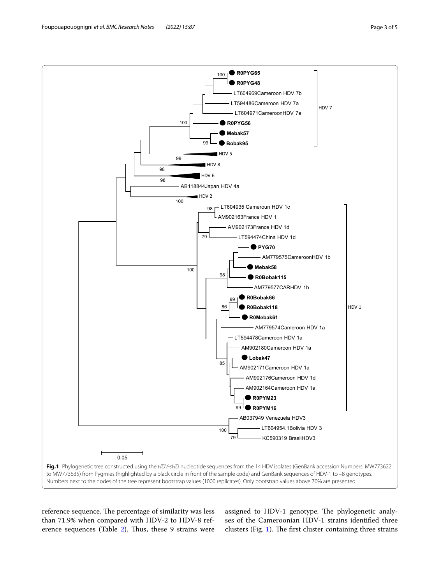<span id="page-2-0"></span>reference sequence. The percentage of similarity was less than 71.9% when compared with HDV-2 to HDV-8 ref-erence sequences (Table [2](#page-3-0)). Thus, these 9 strains were assigned to HDV-1 genotype. The phylogenetic analyses of the Cameroonian HDV-1 strains identifed three clusters (Fig. [1\)](#page-2-0). The first cluster containing three strains

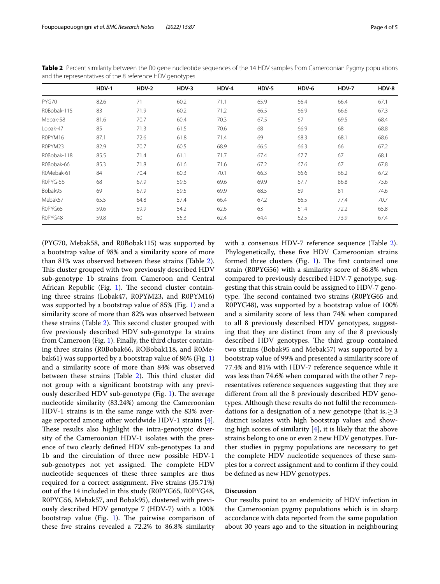|             | HDV-1 | HDV-2 | HDV-3 | HDV-4 | HDV-5 | HDV-6 | HDV-7 | HDV-8 |
|-------------|-------|-------|-------|-------|-------|-------|-------|-------|
| PYG70       | 82.6  | 71    | 60.2  | 71.1  | 65.9  | 66.4  | 66.4  | 67.1  |
| R0Bobak-115 | 83    | 71.9  | 60.2  | 71.2  | 66.5  | 66.9  | 66.6  | 67.3  |
| Mebak-58    | 81.6  | 70.7  | 60.4  | 70.3  | 67.5  | 67    | 69.5  | 68.4  |
| Lobak-47    | 85    | 71.3  | 61.5  | 70.6  | 68    | 66.9  | 68    | 68.8  |
| ROPYM16     | 87.1  | 72.6  | 61.8  | 71.4  | 69    | 68.3  | 68.1  | 68.6  |
| ROPYM23     | 82.9  | 70.7  | 60.5  | 68.9  | 66.5  | 66.3  | 66    | 67.2  |
| R0Bobak-118 | 85.5  | 71.4  | 61.1  | 71.7  | 67.4  | 67.7  | 67    | 68.1  |
| R0Bobak-66  | 85.3  | 71.8  | 61.6  | 71.6  | 67.2  | 67.6  | 67    | 67.8  |
| R0Mebak-61  | 84    | 70.4  | 60.3  | 70.1  | 66.3  | 66.6  | 66.2  | 67.2  |
| ROPYG-56    | 68    | 67.9  | 59.6  | 69.6  | 69.9  | 67.7  | 86.8  | 73.6  |
| Bobak95     | 69    | 67.9  | 59.5  | 69.9  | 68.5  | 69    | 81    | 74.6  |
| Mebak57     | 65.5  | 64.8  | 57.4  | 66.4  | 67.2  | 66.5  | 77,4  | 70.7  |
| ROPYG65     | 59.6  | 59.9  | 54.2  | 62.6  | 63    | 61.4  | 72.2  | 65.8  |
| R0PYG48     | 59.8  | 60    | 55.3  | 62.4  | 64.4  | 62.5  | 73.9  | 67.4  |

<span id="page-3-0"></span>**Table 2** Percent similarity between the R0 gene nucleotide sequences of the 14 HDV samples from Cameroonian Pygmy populations and the representatives of the 8 reference HDV genotypes

(PYG70, Mebak58, and R0Bobak115) was supported by a bootstrap value of 98% and a similarity score of more than 81% was observed between these strains (Table [2](#page-3-0)). This cluster grouped with two previously described HDV sub-genotype 1b strains from Cameroon and Central African Republic (Fig. [1](#page-2-0)). The second cluster containing three strains (Lobak47, R0PYM23, and R0PYM16) was supported by a bootstrap value of 85% (Fig. [1](#page-2-0)) and a similarity score of more than 82% was observed between these strains (Table  $2$ ). This second cluster grouped with fve previously described HDV sub-genotype 1a strains from Cameroon (Fig. [1\)](#page-2-0). Finally, the third cluster containing three strains (R0Bobak66, ROBobak118, and R0Mebak61) was supported by a bootstrap value of 86% (Fig. [1](#page-2-0)) and a similarity score of more than 84% was observed between these strains (Table [2\)](#page-3-0). This third cluster did not group with a signifcant bootstrap with any previously described HDV sub-genotype (Fig.  $1$ ). The average nucleotide similarity (83.24%) among the Cameroonian HDV-1 strains is in the same range with the 83% average reported among other worldwide HDV-1 strains [\[4](#page-4-3)]. These results also highlight the intra-genotypic diversity of the Cameroonian HDV-1 isolates with the presence of two clearly defned HDV sub-genotypes 1a and 1b and the circulation of three new possible HDV-1 sub-genotypes not yet assigned. The complete HDV nucleotide sequences of these three samples are thus required for a correct assignment. Five strains (35.71%) out of the 14 included in this study (R0PYG65, R0PYG48, R0PYG56, Mebak57, and Bobak95), clustered with previously described HDV genotype 7 (HDV-7) with a 100% bootstrap value (Fig. [1\)](#page-2-0). The pairwise comparison of these fve strains revealed a 72.2% to 86.8% similarity with a consensus HDV-7 reference sequence (Table [2](#page-3-0)). Phylogenetically, these fve HDV Cameroonian strains formed three clusters (Fig. [1](#page-2-0)). The first contained one strain (R0PYG56) with a similarity score of 86.8% when compared to previously described HDV-7 genotype, suggesting that this strain could be assigned to HDV-7 genotype. The second contained two strains (R0PYG65 and R0PYG48), was supported by a bootstrap value of 100% and a similarity score of less than 74% when compared to all 8 previously described HDV genotypes, suggesting that they are distinct from any of the 8 previously described HDV genotypes. The third group contained two strains (Bobak95 and Mebak57) was supported by a bootstrap value of 99% and presented a similarity score of 77.4% and 81% with HDV-7 reference sequence while it was less than 74.6% when compared with the other 7 representatives reference sequences suggesting that they are diferent from all the 8 previously described HDV genotypes. Although these results do not fulfl the recommendations for a designation of a new genotype (that is,  $\geq$  3 distinct isolates with high bootstrap values and showing high scores of similarity  $[4]$  $[4]$ , it is likely that the above strains belong to one or even 2 new HDV genotypes. Further studies in pygmy populations are necessary to get the complete HDV nucleotide sequences of these samples for a correct assignment and to confrm if they could be defned as new HDV genotypes.

## **Discussion**

Our results point to an endemicity of HDV infection in the Cameroonian pygmy populations which is in sharp accordance with data reported from the same population about 30 years ago and to the situation in neighbouring